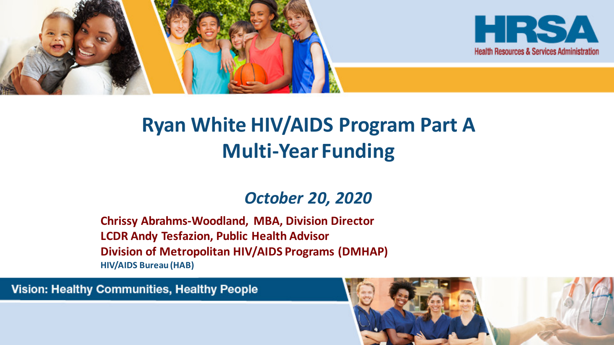



#### **Ryan White HIV/AIDS Program Part A Multi-Year Funding**

#### *October 20, 2020*

**Chrissy Abrahms-Woodland, MBA, Division Director LCDR Andy Tesfazion, Public Health Advisor Division of Metropolitan HIV/AIDS Programs (DMHAP) HIV/AIDS Bureau (HAB)**

**Vision: Healthy Communities, Healthy People** 

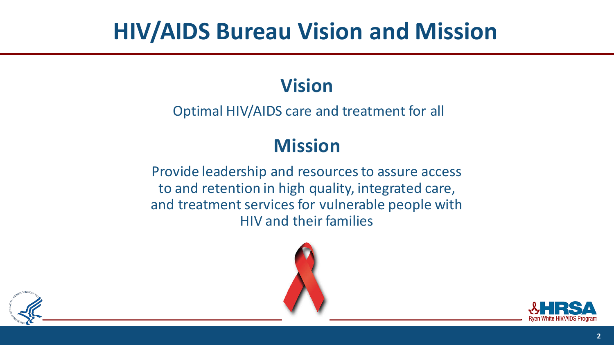## **HIV/AIDS Bureau Vision and Mission**

#### **Vision**

Optimal HIV/AIDS care and treatment for all

#### **Mission**

Provide leadership and resources to assure access to and retention in high quality, integrated care, and treatment services for vulnerable people with HIV and their families





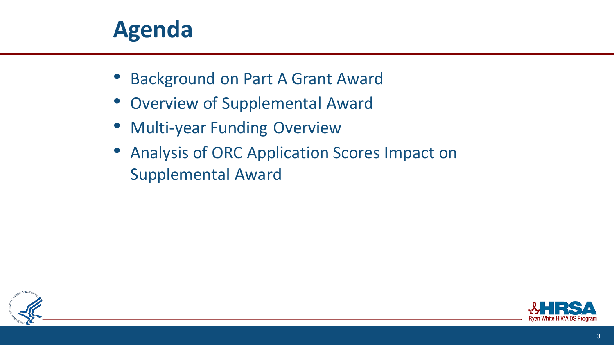#### **Agenda**

- Background on Part A Grant Award
- Overview of Supplemental Award
- Multi-year Funding Overview
- Analysis of ORC Application Scores Impact on Supplemental Award



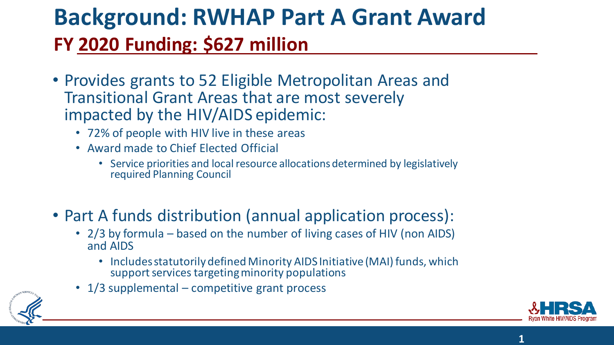## **Background: RWHAP Part A Grant Award FY 2020 Funding: \$627 million**

- Provides grants to 52 Eligible Metropolitan Areas and Transitional Grant Areas that are most severely impacted by the HIV/AIDS epidemic:
	- 72% of people with HIV live in these areas
	- Award made to Chief Elected Official
		- Service priorities and local resource allocations determined by legislatively required Planning Council
- Part A funds distribution (annual application process):
	- 2/3 by formula based on the number of living cases of HIV (non AIDS) and AIDS
		- Includes statutorily defined Minority AIDS Initiative (MAI) funds, which support services targeting minority populations
	- 1/3 supplemental competitive grant process





**1**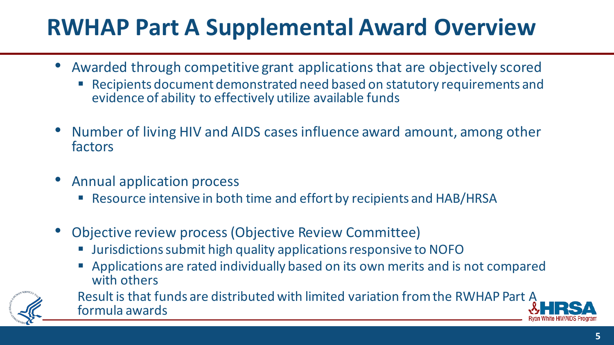## **RWHAP Part A Supplemental Award Overview**

- Awarded through competitive grant applications that are objectively scored
	- Recipients document demonstrated need based on statutory requirements and evidence of ability to effectively utilize available funds
- Number of living HIV and AIDS cases influence award amount, among other factors
- Annual application process
	- Resource intensive in both time and effort by recipients and HAB/HRSA
- Objective review process (Objective Review Committee)
	- Jurisdictions submit high quality applications responsive to NOFO
	- Applications are rated individually based on its own merits and is not compared with others



Result is that funds are distributed with limited variation from the RWHAP Part A formula awards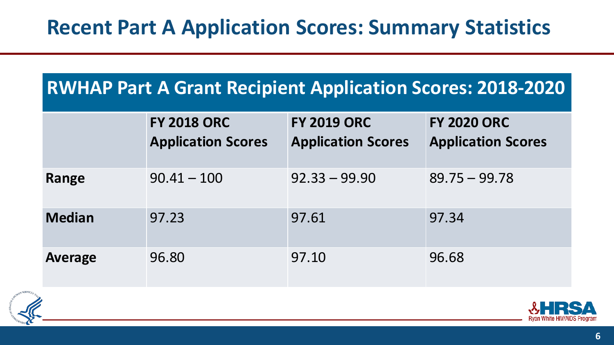#### **Recent Part A Application Scores: Summary Statistics**

#### **RWHAP Part A Grant Recipient Application Scores: 2018-2020**

|                | <b>FY 2018 ORC</b><br><b>Application Scores</b> | <b>FY 2019 ORC</b><br><b>Application Scores</b> | <b>FY 2020 ORC</b><br><b>Application Scores</b> |
|----------------|-------------------------------------------------|-------------------------------------------------|-------------------------------------------------|
| Range          | $90.41 - 100$                                   | $92.33 - 99.90$                                 | $89.75 - 99.78$                                 |
| <b>Median</b>  | 97.23                                           | 97.61                                           | 97.34                                           |
| <b>Average</b> | 96.80                                           | 97.10                                           | 96.68                                           |



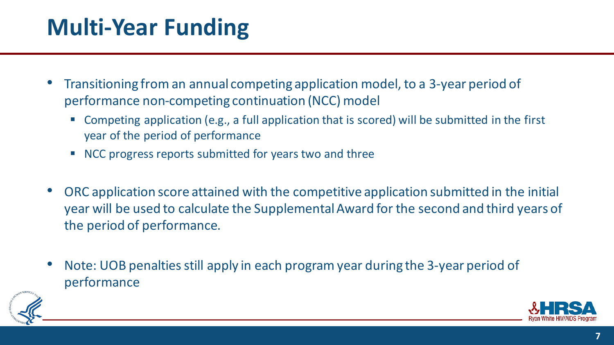## **Multi-Year Funding**

- Transitioning from an annual competing application model, to a 3-year period of performance non-competing continuation (NCC) model
	- Competing application (e.g., a full application that is scored) will be submitted in the first year of the period of performance
	- **NCC progress reports submitted for years two and three**
- ORC application score attained with the competitive application submitted in the initial year will be used to calculate the Supplemental Award for the second and third years of the period of performance.
- Note: UOB penalties still apply in each program year during the 3-year period of performance

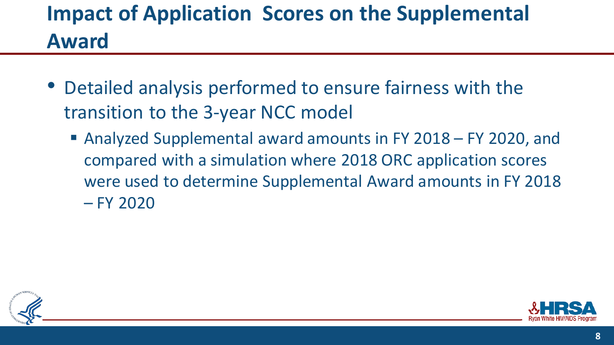### **Impact of Application Scores on the Supplemental Award**

- Detailed analysis performed to ensure fairness with the transition to the 3-year NCC model
	- Analyzed Supplemental award amounts in FY 2018 FY 2020, and compared with a simulation where 2018 ORC application scores were used to determine Supplemental Award amounts in FY 2018 – FY 2020



![](_page_7_Picture_4.jpeg)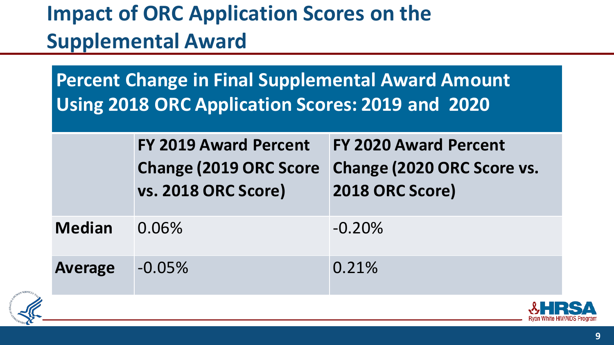## **Impact of ORC Application Scores on the Supplemental Award**

**Percent Change in Final Supplemental Award Amount Using 2018 ORC Application Scores: 2019 and 2020**

|                | <b>FY 2019 Award Percent</b><br><b>Change (2019 ORC Score</b><br><b>vs. 2018 ORC Score)</b> | <b>FY 2020 Award Percent</b><br>Change (2020 ORC Score vs.<br>2018 ORC Score) |
|----------------|---------------------------------------------------------------------------------------------|-------------------------------------------------------------------------------|
| <b>Median</b>  | 0.06%                                                                                       | $-0.20%$                                                                      |
| <b>Average</b> | $-0.05%$                                                                                    | 0.21%                                                                         |
|                |                                                                                             |                                                                               |

![](_page_8_Picture_3.jpeg)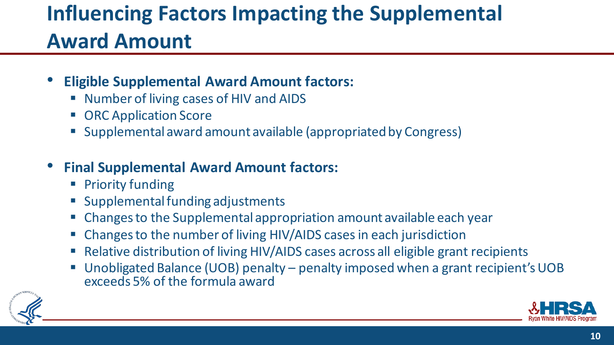## **Influencing Factors Impacting the Supplemental Award Amount**

- **Eligible Supplemental Award Amount factors:** 
	- Number of living cases of HIV and AIDS
	- ORC Application Score
	- Supplemental award amount available (appropriated by Congress)
- **Final Supplemental Award Amount factors:** 
	- Priority funding
	- Supplemental funding adjustments
	- Changes to the Supplemental appropriation amount available each year
	- Changes to the number of living HIV/AIDS cases in each jurisdiction
	- Relative distribution of living HIV/AIDS cases across all eligible grant recipients
	- Unobligated Balance (UOB) penalty penalty imposed when a grant recipient's UOB exceeds 5% of the formula award

![](_page_9_Picture_12.jpeg)

![](_page_9_Picture_13.jpeg)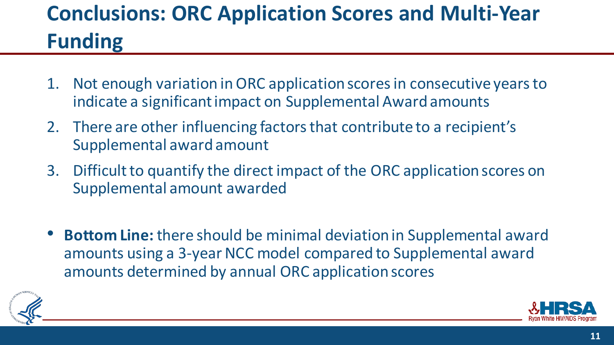## **Conclusions: ORC Application Scores and Multi-Year Funding**

- 1. Not enough variation in ORC application scores in consecutive years to indicate a significant impact on Supplemental Award amounts
- 2. There are other influencing factors that contribute to a recipient's Supplemental award amount
- 3. Difficult to quantify the direct impact of the ORC application scores on Supplemental amount awarded
- **Bottom Line:** there should be minimal deviation in Supplemental award amounts using a 3-year NCC model compared to Supplemental award amounts determined by annual ORC application scores

![](_page_10_Picture_5.jpeg)

![](_page_10_Picture_6.jpeg)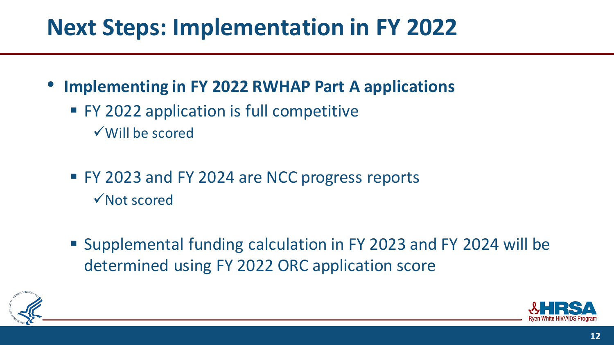## **Next Steps: Implementation in FY 2022**

- **Implementing in FY 2022 RWHAP Part A applications**
	- **FY 2022 application is full competitive** Will be scored
	- FY 2023 and FY 2024 are NCC progress reports **√Not scored**
	- Supplemental funding calculation in FY 2023 and FY 2024 will be determined using FY 2022 ORC application score

![](_page_11_Picture_5.jpeg)

![](_page_11_Picture_6.jpeg)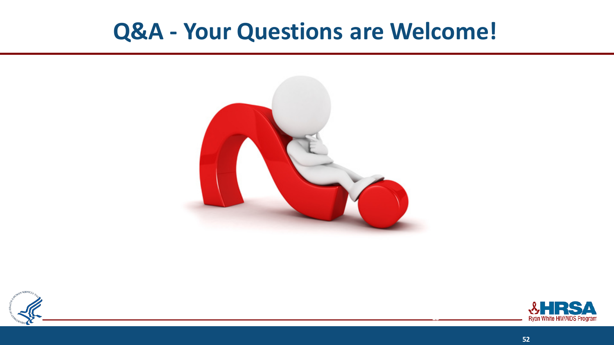#### **Q&A - Your Questions are Welcome!**

![](_page_12_Picture_1.jpeg)

![](_page_12_Figure_2.jpeg)

![](_page_12_Picture_3.jpeg)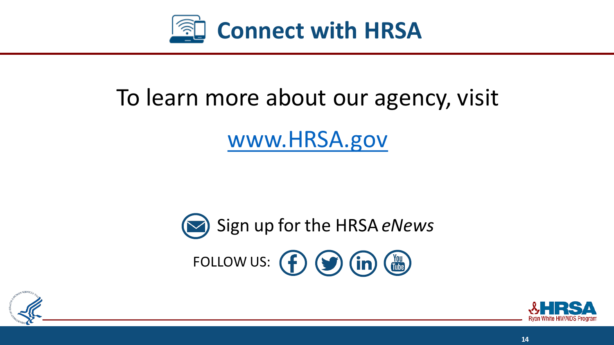![](_page_13_Picture_0.jpeg)

# To learn more about our agency, visit [www.HRSA.gov](http://www.hrsa.gov/)

![](_page_13_Picture_2.jpeg)

![](_page_13_Picture_3.jpeg)

![](_page_13_Picture_4.jpeg)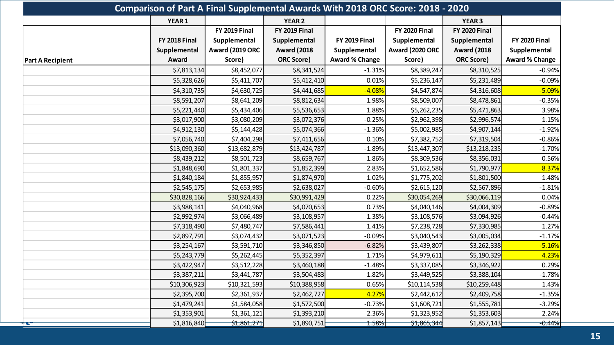| Comparison of Part A Final Supplemental Awards With 2018 ORC Score: 2018 - 2020 |                      |                      |                      |                       |                      |                      |                       |
|---------------------------------------------------------------------------------|----------------------|----------------------|----------------------|-----------------------|----------------------|----------------------|-----------------------|
|                                                                                 | YEAR 1               |                      | <b>YEAR 2</b>        |                       |                      | <b>YEAR 3</b>        |                       |
|                                                                                 |                      | <b>FY 2019 Final</b> | <b>FY 2019 Final</b> |                       | <b>FY 2020 Final</b> | <b>FY 2020 Final</b> |                       |
|                                                                                 | <b>FY 2018 Final</b> | Supplemental         | Supplemental         | <b>FY 2019 Final</b>  | Supplemental         | Supplemental         | <b>FY 2020 Final</b>  |
|                                                                                 | Supplemental         | Award (2019 ORC      | <b>Award (2018</b>   | Supplemental          | Award (2020 ORC      | <b>Award (2018</b>   | Supplemental          |
| <b>Part A Recipient</b>                                                         | Award                | Score)               | <b>ORC Score)</b>    | <b>Award % Change</b> | Score)               | <b>ORC Score)</b>    | <b>Award % Change</b> |
|                                                                                 | \$7,813,134          | \$8,452,077          | \$8,341,524          | $-1.31%$              | \$8,389,247          | \$8,310,525          | $-0.94%$              |
|                                                                                 | \$5,328,626          | \$5,411,707          | \$5,412,410          | 0.01%                 | \$5,236,147          | \$5,231,489          | $-0.09%$              |
|                                                                                 | \$4,310,735          | \$4,630,725          | \$4,441,685          | $-4.08%$              | \$4,547,874          | \$4,316,608          | $-5.09%$              |
|                                                                                 | \$8,591,207          | \$8,641,209          | \$8,812,634          | 1.98%                 | \$8,509,007          | \$8,478,861          | $-0.35%$              |
|                                                                                 | \$5,221,440          | \$5,434,406          | \$5,536,653          | 1.88%                 | \$5,262,235          | \$5,471,863          | 3.98%                 |
|                                                                                 | \$3,017,900          | \$3,080,209          | \$3,072,376          | $-0.25%$              | \$2,962,398          | \$2,996,574          | 1.15%                 |
|                                                                                 | \$4,912,130          | \$5,144,428          | \$5,074,366          | $-1.36%$              | \$5,002,985          | \$4,907,144          | $-1.92%$              |
|                                                                                 | \$7,056,740          | \$7,404,298          | \$7,411,656          | 0.10%                 | \$7,382,752          | \$7,319,504          | $-0.86%$              |
|                                                                                 | \$13,090,360         | \$13,682,879         | \$13,424,787         | $-1.89%$              | \$13,447,307         | \$13,218,235         | $-1.70%$              |
|                                                                                 | \$8,439,212          | \$8,501,723          | \$8,659,767          | 1.86%                 | \$8,309,536          | \$8,356,031          | 0.56%                 |
|                                                                                 | \$1,848,690          | \$1,801,337          | \$1,852,399          | 2.83%                 | \$1,652,586          | \$1,790,977          | 8.37%                 |
|                                                                                 | \$1,840,184          | \$1,855,957          | \$1,874,970          | 1.02%                 | \$1,775,202          | \$1,801,500          | 1.48%                 |
|                                                                                 | \$2,545,175          | \$2,653,985          | \$2,638,027          | $-0.60%$              | \$2,615,120          | \$2,567,896          | $-1.81%$              |
|                                                                                 | \$30,828,166         | \$30,924,433         | \$30,991,429         | 0.22%                 | \$30,054,269         | \$30,066,119         | 0.04%                 |
|                                                                                 | \$3,988,141          | \$4,040,968          | \$4,070,653          | 0.73%                 | \$4,040,146          | \$4,004,309          | $-0.89%$              |
|                                                                                 | \$2,992,974          | \$3,066,489          | \$3,108,957          | 1.38%                 | \$3,108,576          | \$3,094,926          | $-0.44%$              |
|                                                                                 | \$7,318,490          | \$7,480,747          | \$7,586,441          | 1.41%                 | \$7,238,728          | \$7,330,985          | 1.27%                 |
|                                                                                 | \$2,897,791          | \$3,074,432          | \$3,071,523          | $-0.09%$              | \$3,040,543          | \$3,005,034          | $-1.17%$              |
|                                                                                 | \$3,254,167          | \$3,591,710          | \$3,346,850          | $-6.82%$              | \$3,439,807          | \$3,262,338          | $-5.16%$              |
|                                                                                 | \$5,243,779          | \$5,262,445          | \$5,352,397          | 1.71%                 | \$4,979,611          | \$5,190,329          | 4.23%                 |
|                                                                                 | \$3,422,947          | \$3,512,228          | \$3,460,188          | $-1.48%$              | \$3,337,085          | \$3,346,922          | 0.29%                 |
|                                                                                 | \$3,387,211          | \$3,441,787          | \$3,504,483          | 1.82%                 | \$3,449,525          | \$3,388,104          | $-1.78%$              |
|                                                                                 | \$10,306,923         | \$10,321,593         | \$10,388,958         | 0.65%                 | \$10,114,538         | \$10,259,448         | 1.43%                 |
|                                                                                 | \$2,395,700          | \$2,361,937          | \$2,462,727          | 4.27%                 | \$2,442,612          | \$2,409,758          | $-1.35%$              |
|                                                                                 | \$1,479,241          | \$1,584,058          | \$1,572,500          | $-0.73%$              | \$1,608,721          | \$1,555,781          | $-3.29%$              |
|                                                                                 | \$1,353,901          | \$1,361,121          | \$1,393,210          | 2.36%                 | \$1,323,952          | \$1,353,603          | 2.24%                 |
| $\frac{1}{2}$                                                                   | \$1,816,840          | \$1,861,271          | \$1,890,751          | 1.58%                 | \$1,865,344          | \$1,857,143          | $-0.44%$              |